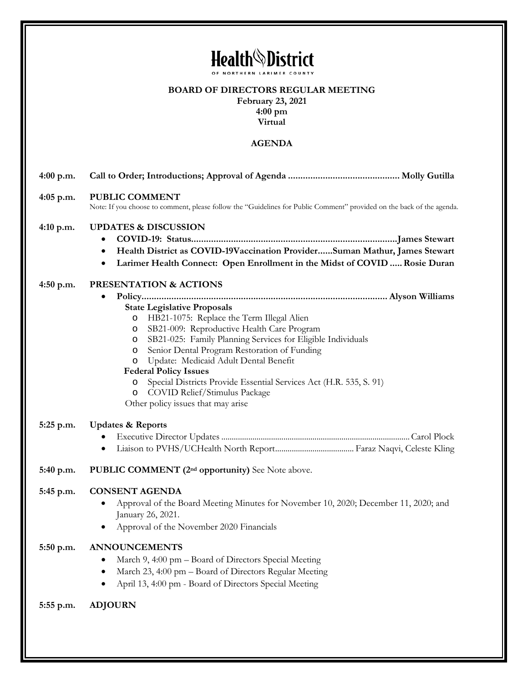| <b>Health</b> <sup>\</sup> District |                                                                                                                                                                                                                                                                                                                                                                                                                                                                                                                                                                    |
|-------------------------------------|--------------------------------------------------------------------------------------------------------------------------------------------------------------------------------------------------------------------------------------------------------------------------------------------------------------------------------------------------------------------------------------------------------------------------------------------------------------------------------------------------------------------------------------------------------------------|
|                                     | OF NORTHERN LARIMER COUNTY<br><b>BOARD OF DIRECTORS REGULAR MEETING</b><br>February 23, 2021<br>$4:00 \text{ pm}$<br>Virtual                                                                                                                                                                                                                                                                                                                                                                                                                                       |
|                                     | <b>AGENDA</b>                                                                                                                                                                                                                                                                                                                                                                                                                                                                                                                                                      |
| $4:00$ p.m.                         |                                                                                                                                                                                                                                                                                                                                                                                                                                                                                                                                                                    |
| $4:05$ p.m.                         | <b>PUBLIC COMMENT</b><br>Note: If you choose to comment, please follow the "Guidelines for Public Comment" provided on the back of the agenda.                                                                                                                                                                                                                                                                                                                                                                                                                     |
| $4:10$ p.m.                         | <b>UPDATES &amp; DISCUSSION</b><br>$\bullet$<br>Health District as COVID-19Vaccination ProviderSuman Mathur, James Stewart<br>$\bullet$<br>Larimer Health Connect: Open Enrollment in the Midst of COVID  Rosie Duran<br>٠                                                                                                                                                                                                                                                                                                                                         |
| $4:50$ p.m.                         | PRESENTATION & ACTIONS<br>٠<br><b>State Legislative Proposals</b><br>HB21-1075: Replace the Term Illegal Alien<br>$\circ$<br>SB21-009: Reproductive Health Care Program<br>$\circ$<br>SB21-025: Family Planning Services for Eligible Individuals<br>O<br>Senior Dental Program Restoration of Funding<br>$\circ$<br>Update: Medicaid Adult Dental Benefit<br>O<br><b>Federal Policy Issues</b><br>Special Districts Provide Essential Services Act (H.R. 535, S. 91)<br>$\circ$<br>COVID Relief/Stimulus Package<br>$\circ$<br>Other policy issues that may arise |
| 5:25 p.m.                           | <b>Updates &amp; Reports</b><br>$\bullet$                                                                                                                                                                                                                                                                                                                                                                                                                                                                                                                          |
| 5:40 p.m.                           | <b>PUBLIC COMMENT</b> (2 <sup>nd</sup> opportunity) See Note above.                                                                                                                                                                                                                                                                                                                                                                                                                                                                                                |
| 5:45 p.m.                           | <b>CONSENT AGENDA</b><br>Approval of the Board Meeting Minutes for November 10, 2020; December 11, 2020; and<br>January 26, 2021.<br>Approval of the November 2020 Financials<br>$\bullet$                                                                                                                                                                                                                                                                                                                                                                         |
| 5:50 p.m.                           | <b>ANNOUNCEMENTS</b><br>March 9, 4:00 pm - Board of Directors Special Meeting<br>٠<br>March 23, 4:00 pm - Board of Directors Regular Meeting<br>٠<br>April 13, 4:00 pm - Board of Directors Special Meeting<br>٠                                                                                                                                                                                                                                                                                                                                                   |
| 5:55 p.m.                           | <b>ADJOURN</b>                                                                                                                                                                                                                                                                                                                                                                                                                                                                                                                                                     |